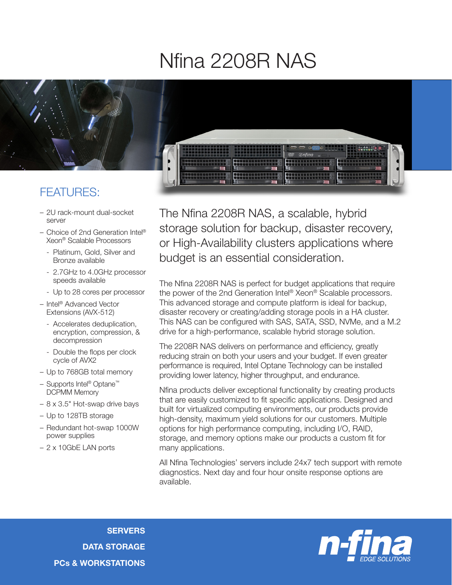## Nfina 2208R NAS



- 2U rack-mount dual-socket server
- Choice of 2nd Generation Intel® Xeon® Scalable Processors
	- Platinum, Gold, Silver and Bronze available
	- 2.7GHz to 4.0GHz processor speeds available
	- Up to 28 cores per processor
- Intel® Advanced Vector Extensions (AVX-512)
	- Accelerates deduplication, encryption, compression, & decompression
	- Double the flops per clock cycle of AVX2
- Up to 768GB total memory
- Supports Intel® Optane™ DCPMM Memory
- 8 x 3.5" Hot-swap drive bays
- Up to 128TB storage
- Redundant hot-swap 1000W power supplies
- 2 x 10GbE LAN ports

The Nfina 2208R NAS, a scalable, hybrid storage solution for backup, disaster recovery, or High-Availability clusters applications where budget is an essential consideration.

The Nfina 2208R NAS is perfect for budget applications that require the power of the 2nd Generation Intel® Xeon® Scalable processors. This advanced storage and compute platform is ideal for backup, disaster recovery or creating/adding storage pools in a HA cluster. This NAS can be configured with SAS, SATA, SSD, NVMe, and a M.2 drive for a high-performance, scalable hybrid storage solution.

The 2208R NAS delivers on performance and efficiency, greatly reducing strain on both your users and your budget. If even greater performance is required, Intel Optane Technology can be installed providing lower latency, higher throughput, and endurance.

Nfina products deliver exceptional functionality by creating products that are easily customized to fit specific applications. Designed and built for virtualized computing environments, our products provide high-density, maximum yield solutions for our customers. Multiple options for high performance computing, including I/O, RAID, storage, and memory options make our products a custom fit for many applications.

All Nfina Technologies' servers include 24x7 tech support with remote diagnostics. Next day and four hour onsite response options are available.

**SERVERS** DATA STORAGE PCs & WORKSTATIONS

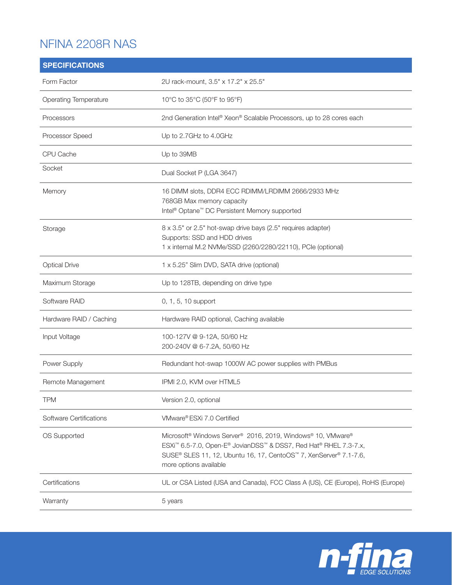## NFINA 2208R NAS

| <b>SPECIFICATIONS</b>        |                                                                                                                                                                                                                                                                                |
|------------------------------|--------------------------------------------------------------------------------------------------------------------------------------------------------------------------------------------------------------------------------------------------------------------------------|
| Form Factor                  | 2U rack-mount, 3.5" x 17.2" x 25.5"                                                                                                                                                                                                                                            |
| <b>Operating Temperature</b> | 10°C to 35°C (50°F to 95°F)                                                                                                                                                                                                                                                    |
| Processors                   | 2nd Generation Intel® Xeon® Scalable Processors, up to 28 cores each                                                                                                                                                                                                           |
| Processor Speed              | Up to 2.7GHz to 4.0GHz                                                                                                                                                                                                                                                         |
| CPU Cache                    | Up to 39MB                                                                                                                                                                                                                                                                     |
| Socket                       | Dual Socket P (LGA 3647)                                                                                                                                                                                                                                                       |
| Memory                       | 16 DIMM slots, DDR4 ECC RDIMM/LRDIMM 2666/2933 MHz<br>768GB Max memory capacity<br>Intel <sup>®</sup> Optane <sup>™</sup> DC Persistent Memory supported                                                                                                                       |
| Storage                      | 8 x 3.5" or 2.5" hot-swap drive bays (2.5" requires adapter)<br>Supports: SSD and HDD drives<br>1 x internal M.2 NVMe/SSD (2260/2280/22110), PCIe (optional)                                                                                                                   |
| <b>Optical Drive</b>         | 1 x 5.25" Slim DVD, SATA drive (optional)                                                                                                                                                                                                                                      |
| Maximum Storage              | Up to 128TB, depending on drive type                                                                                                                                                                                                                                           |
| Software RAID                | 0, 1, 5, 10 support                                                                                                                                                                                                                                                            |
| Hardware RAID / Caching      | Hardware RAID optional, Caching available                                                                                                                                                                                                                                      |
| Input Voltage                | 100-127V @ 9-12A, 50/60 Hz<br>200-240V @ 6-7.2A, 50/60 Hz                                                                                                                                                                                                                      |
| Power Supply                 | Redundant hot-swap 1000W AC power supplies with PMBus                                                                                                                                                                                                                          |
| Remote Management            | IPMI 2.0, KVM over HTML5                                                                                                                                                                                                                                                       |
| <b>TPM</b>                   | Version 2.0, optional                                                                                                                                                                                                                                                          |
| Software Certifications      | VMware® ESXi 7.0 Certified                                                                                                                                                                                                                                                     |
| OS Supported                 | Microsoft <sup>®</sup> Windows Server <sup>®</sup> 2016, 2019, Windows <sup>®</sup> 10, VMware®<br>ESXi <sup>™</sup> 6.5-7.0, Open-E® JovianDSS™ & DSS7, Red Hat® RHEL 7.3-7.x,<br>SUSE® SLES 11, 12, Ubuntu 16, 17, CentoOS™ 7, XenServer® 7.1-7.6,<br>more options available |
| Certifications               | UL or CSA Listed (USA and Canada), FCC Class A (US), CE (Europe), RoHS (Europe)                                                                                                                                                                                                |
| Warranty                     | 5 years                                                                                                                                                                                                                                                                        |